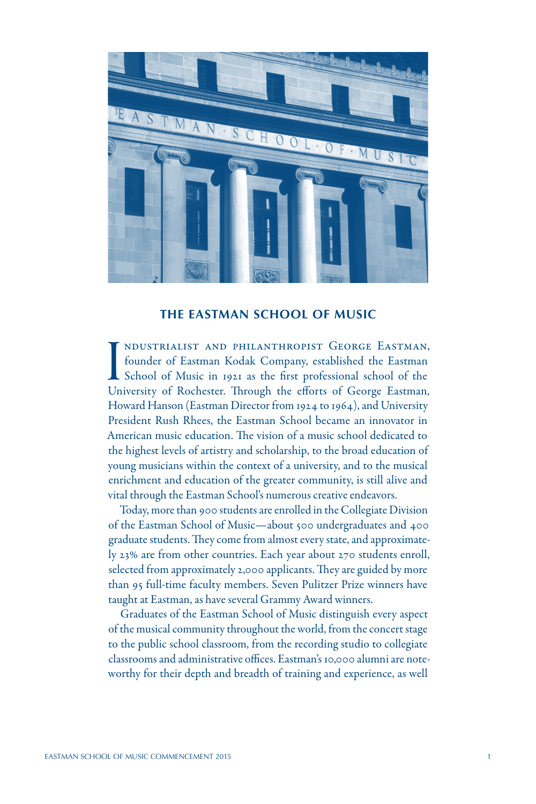

#### **THE EASTMAN SCHOOL OF MUSIC**

I NDUSTRIALIST AND PHILANTHROPIST GEORGE EASTMAN,<br>founder of Eastman Kodak Company, established the Eastman<br>School of Music in 1921 as the first professional school of the<br>University of Rochester. Through the efforts of Ge ndustrialist and philanthropist George Eastman, founder of Eastman Kodak Company, established the Eastman School of Music in 1921 as the first professional school of the Howard Hanson (Eastman Director from 1924 to 1964), and University President Rush Rhees, the Eastman School became an innovator in American music education. The vision of a music school dedicated to the highest levels of artistry and scholarship, to the broad education of young musicians within the context of a university, and to the musical enrichment and education of the greater community, is still alive and vital through the Eastman School's numerous creative endeavors.

Today, more than 900 students are enrolled in the Collegiate Division of the Eastman School of Music—about 500 undergraduates and 400 graduate students. They come from almost every state, and approximately 23% are from other countries. Each year about 270 students enroll, selected from approximately 2,000 applicants. They are guided by more than 95 full-time faculty members. Seven Pulitzer Prize winners have taught at Eastman, as have several Grammy Award winners.

Graduates of the Eastman School of Music distinguish every aspect of the musical community throughout the world, from the concert stage to the public school classroom, from the recording studio to collegiate classrooms and administrative offices. Eastman's 10,000 alumni are noteworthy for their depth and breadth of training and experience, as well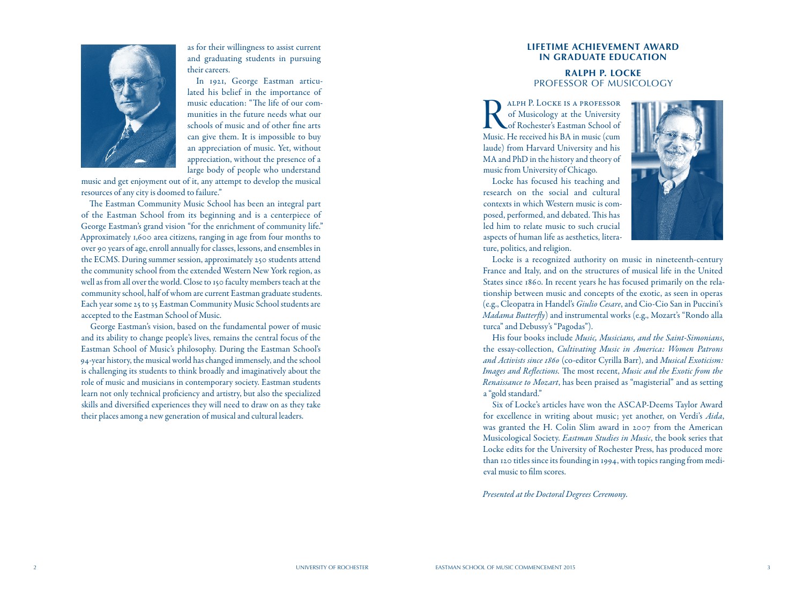

as for their willingness to assist current and graduating students in pursuing their careers.

In 1921, George Eastman articu lated his belief in the importance of music education: "The life of our com munities in the future needs what our schools of music and of other fine arts can give them. It is impossible to buy an appreciation of music. Yet, without appreciation, without the presence of a large body of people who understand

music and get enjoyment out of it, any attempt to develop the musical resources of any city is doomed to failure."

The Eastman Community Music School has been an integral part of the Eastman School from its beginning and is a centerpiece of George Eastman's grand vision "for the enrichment of community life." Approximately 1,600 area citizens, ranging in age from four months to over 90 years of age, enroll annually for classes, lessons, and ensembles in the ECMS. During summer session, approximately 250 students attend the community school from the extended Western New York region, as well as from all over the world. Close to 150 faculty members teach at the community school, half of whom are current Eastman graduate students. Each year some 25 to 35 Eastman Community Music School students are accepted to the Eastman School of Music.

George Eastman's vision, based on the fundamental power of music and its ability to change people's lives, remains the central focus of the Eastman School of Music's philosophy. During the Eastman School's 94-year history, the musical world has changed immensely, and the school is challenging its students to think broadly and imaginatively about the role of music and musicians in contemporary society. Eastman students learn not only technical proficiency and artistry, but also the specialized skills and diversified experiences they will need to draw on as they take their places among a new generation of musical and cultural leaders.

# **LIFETIME ACHIEVEMENT AWARD IN GRADUATE EDUCATION**

### **RALPH P. LOCKE** PROFESSOR OF MUSICOLOGY

RALPH P. LOCKE IS A PROFESSOR<br>
of Musicology at the University<br>
of Rochester's Eastman School of<br>
Music. He received his BA in music (cum of Musicology at the University of Rochester's Eastman School of laude) from Harvard University and his MA and PhD in the history and theory of music from University of Chicago.

Locke has focused his teaching and research on the social and cultural contexts in which Western music is com posed, performed, and debated. This has led him to relate music to such crucial aspects of human life as aesthetics, litera ture, politics, and religion.



Locke is a recognized authority on music in nineteenth-century France and Italy, and on the structures of musical life in the United States since 1860. In recent years he has focused primarily on the rela tionship between music and concepts of the exotic, as seen in operas (e.g., Cleopatra in Handel's *Giulio Cesare*, and Cio-Cio San in Puccini's *Madama Butterfly*) and instrumental works (e.g., Mozart's "Rondo alla turca" and Debussy's "Pagodas").

His four books include *Music, Musicians, and the Saint-Simonians*, the essay-collection, *Cultivating Music in America: Women Patrons and Activists since 1860* (co-editor Cyrilla Barr), and *Musical Exoticism: Images and Reflections.* The most recent, *Music and the Exotic from the Renaissance to Mozart*, has been praised as "magisterial" and as setting a "gold standard."

Six of Locke's articles have won the ASCAP-Deems Taylor Award for excellence in writing about music; yet another, on Verdi's *Aida*, was granted the H. Colin Slim award in 2007 from the American Musicological Society. *Eastman Studies in Music*, the book series that Locke edits for the University of Rochester Press, has produced more than 120 titles since its founding in 1994, with topics ranging from medi eval music to film scores.

*Presented at the Doctoral Degrees Ceremony.*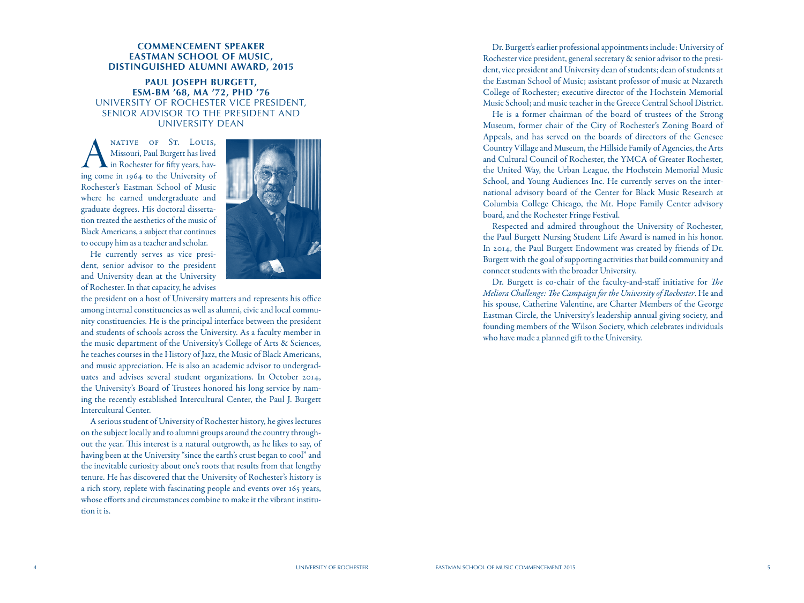#### **COMMENCEMENT SPEAKER EASTMAN SCHOOL OF MUSIC, DISTINGUISHED ALUMNI AWARD, 2015**

### **PAUL JOSEPH BURGETT, ESM-BM '68, MA '72, PHD '76** UNIVERSITY OF ROCHESTER VICE PRESIDENT, SENIOR ADVISOR TO THE PRESIDENT AND UNIVERSITY DEAN

MATIVE OF ST. LOUIS,<br>
Missouri, Paul Burgett has lived<br>
in Rochester for fifty years, hav-<br>
ing come in 1964 to the University of Missouri, Paul Burgett has lived in Rochester for fifty years, hav - Rochester's Eastman School of Music where he earned undergraduate and graduate degrees. His doctoral disserta tion treated the aesthetics of the music of Black Americans, a subject that continues to occupy him as a teacher and scholar.



He currently serves as vice presi dent, senior advisor to the president and University dean at the University of Rochester. In that capacity, he advises

the president on a host of University matters and represents his office among internal constituencies as well as alumni, civic and local commu nity constituencies. He is the principal interface between the president and students of schools across the University. As a faculty member in the music department of the University's College of Arts & Sciences, he teaches courses in the History of Jazz, the Music of Black Americans, and music appreciation. He is also an academic advisor to undergrad uates and advises several student organizations. In October 2014, the University's Board of Trustees honored his long service by nam ing the recently established Intercultural Center, the Paul J. Burgett Intercultural Center.

A serious student of University of Rochester history, he gives lectures on the subject locally and to alumni groups around the country through out the year. This interest is a natural outgrowth, as he likes to say, of having been at the University "since the earth's crust began to cool" and the inevitable curiosity about one's roots that results from that lengthy tenure. He has discovered that the University of Rochester's history is a rich story, replete with fascinating people and events over 165 years, whose efforts and circumstances combine to make it the vibrant institu tion it is.

Dr. Burgett's earlier professional appointments include: University of Rochester vice president, general secretary & senior advisor to the presi dent, vice president and University dean of students; dean of students at the Eastman School of Music; assistant professor of music at Nazareth College of Rochester; executive director of the Hochstein Memorial Music School; and music teacher in the Greece Central School District.

He is a former chairman of the board of trustees of the Strong Museum, former chair of the City of Rochester's Zoning Board of Appeals, and has served on the boards of directors of the Genesee Country Village and Museum, the Hillside Family of Agencies, the Arts and Cultural Council of Rochester, the YMCA of Greater Rochester, the United Way, the Urban League, the Hochstein Memorial Music School, and Young Audiences Inc. He currently serves on the inter national advisory board of the Center for Black Music Research at Columbia College Chicago, the Mt. Hope Family Center advisory board, and the Rochester Fringe Festival.

Respected and admired throughout the University of Rochester, the Paul Burgett Nursing Student Life Award is named in his honor. In 2014, the Paul Burgett Endowment was created by friends of Dr. Burgett with the goal of supporting activities that build community and connect students with the broader University.

Dr. Burgett is co-chair of the faculty-and-staff initiative for *The Meliora Challenge: The Campaign for the University of Rochester*. He and his spouse, Catherine Valentine, are Charter Members of the George Eastman Circle, the University's leadership annual giving society, and founding members of the Wilson Society, which celebrates individuals who have made a planned gift to the University.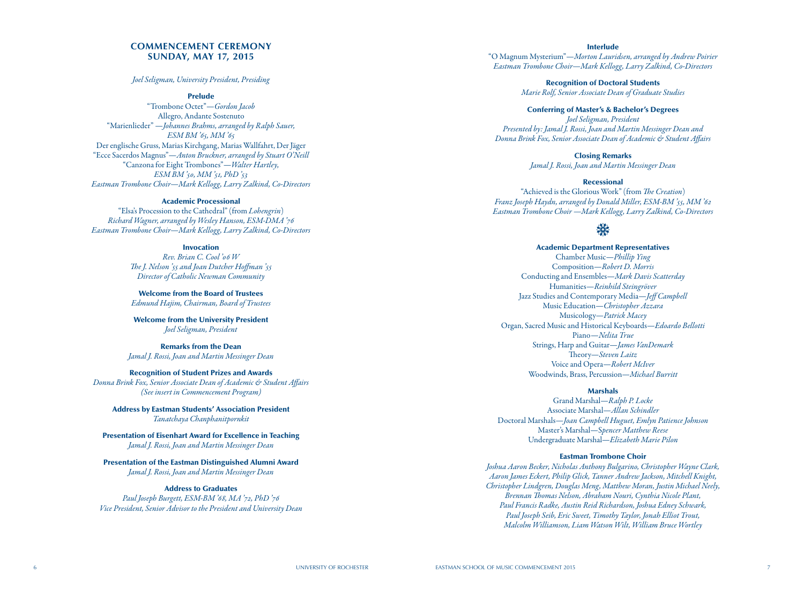#### **COMMENCEMENT CEREMONY SUNDAY, MAY 17, 2015**

#### *Joel Seligman, University President, Presiding*

#### Prelude

"Trombone Octet" —*Gordon Jacob* Allegro, Andante Sostenuto "Marienlieder" —*Johannes Brahms, arranged by Ralph Sauer, ESM BM '65, MM '65* Der englische Gruss, Marias Kirchgang, Marias Wallfahrt, Der Jäger "Ecce Sacerdos Magnus"—*Anton Bruckner, arranged by Stuart O'Neill* "Canzona for Eight Trombones"—*Walter Hartley, ESM BM '50, MM '51, PhD '53 Eastman Trombone Choir—Mark Kellogg, Larry Zalkind, Co-Directors*

#### Academic Processional

"Elsa's Procession to the Cathedral" (from *Lohengrin* ) *Richard Wagner, arranged by Wesley Hanson, ESM-DMA '76 Eastman Trombone Choir—Mark Kellogg, Larry Zalkind, Co-Directors*

#### Invocation

*Rev. Brian C. Cool '06 W The J. Nelson '55 and Joan Dutcher Hoffman '55 Director of Catholic Newman Community*

Welcome from the Board of Trustees *Edmund Hajim, Chairman, Board of Trustees*

Welcome from the University President *Joel Seligman, President*

Remarks from the Dean *Jamal J. Rossi, Joan and Martin Messinger Dean*

#### Recognition of Student Prizes and Awards

*Donna Brink Fox, Senior Associate Dean of Academic & Student Affairs (See insert in Commencement Program)*

Address by Eastman Students' Association President *Tanatchaya Chanphanitpornkit*

Presentation of Eisenhart Award for Excellence in Teaching *Jamal J. Rossi, Joan and Martin Messinger Dean*

Presentation of the Eastman Distinguished Alumni Award *Jamal J. Rossi, Joan and Martin Messinger Dean*

#### Address to Graduates

*Paul Joseph Burgett, ESM-BM '68, MA '72, PhD '76 Vice President, Senior Advisor to the President and University Dean*

Interlude "O Magnum Mysterium" —*Morton Lauridsen, arranged by Andrew Poirier Eastman Trombone Choir—Mark Kellogg, Larry Zalkind, Co-Directors*

> Recognition of Doctoral Students *Marie Rolf, Senior Associate Dean of Graduate Studies*

#### Conferring of Master's & Bachelor's Degrees

*Joel Seligman, President Presented by: Jamal J. Rossi, Joan and Martin Messinger Dean and Donna Brink Fox, Senior Associate Dean of Academic & Student Affairs*

Closing Remarks

*Jamal J. Rossi, Joan and Martin Messinger Dean*

#### Recessional

"Achieved is the Glorious Work" (from *The Creation* ) *Franz Joseph Haydn, arranged by Donald Miller, ESM-BM '55, MM '62 Eastman Trombone Choir —Mark Kellogg, Larry Zalkind, Co-Directors*

# **ext**

Academic Department Representatives Chamber Music—*Phillip Ying* Composition—*Robert D. Morris* Conducting and Ensembles—*Mark Davis Scatterday* Humanities—*Reinhild Steingröver* Jazz Studies and Contemporary Media—*Jeff Campbell* Music Education—*Christopher Azzara* Musicology—*Patrick Macey* Organ, Sacred Music and Historical Keyboards—*Edoardo Bellotti* Piano—*Nelita True* Strings, Harp and Guitar—*James VanDemark* Theory—*Steven Laitz* Voice and Opera—*Robert McIver* Woodwinds, Brass, Percussion—*Michael Burritt*

#### Marshals

Grand Marshal—*Ralph P. Locke* Associate Marshal—*Allan Schindler* Doctoral Marshals—*Joan Campbell Huguet, Emlyn Patience Johnson* Master's Marshal—S*pencer Matthew Reese* Undergraduate Marshal—*Elizabeth Marie Pilon*

#### Eastman Trombone Choir

*Joshua Aaron Becker, Nicholas Anthony Bulgarino, Christopher Wayne Clark, Aaron James Eckert, Philip Glick, Tanner Andrew Jackson, Mitchell Knight, Christopher Lindgren, Douglas Meng, Matthew Moran, Justin Michael Neely, Brennan Thomas Nelson, Abraham Nouri, Cynthia Nicole Plant, Paul Francis Radke, Austin Reid Richardson, Joshua Edney Schwark, Paul Joseph Seib, Eric Sweet, Timothy Taylor, Jonah Elliot Trout, Malcolm Williamson, Liam Watson Wilt, William Bruce Wortley*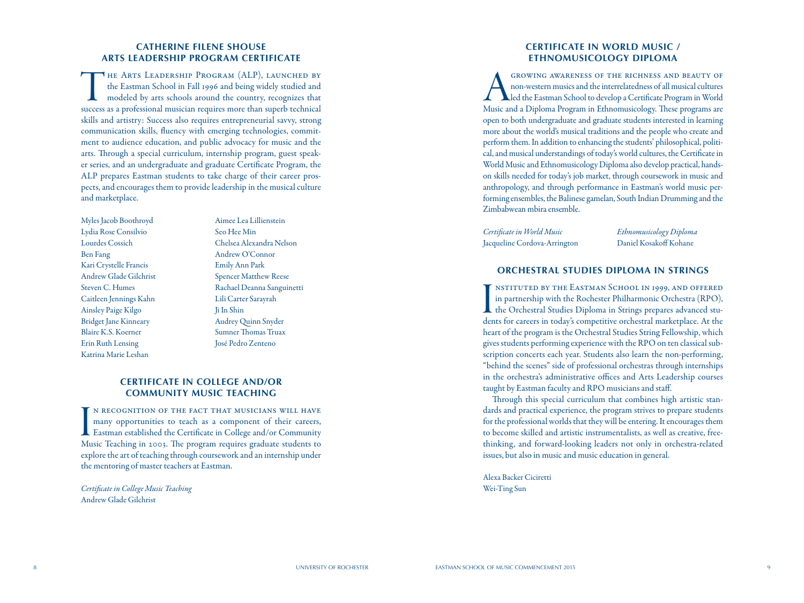# **CATHERINE FILENE SHOUSE ARTS LEADERSHIP PROGRAM CERTIFICATE**

THE ARTS LEADERSHIP PROGRAM (ALP), LAUNCHED BY<br>the Eastman School in Fall 1996 and being widely studied and<br>modeled by arts schools around the country, recognizes that<br>success as a professional musician requires more than the Eastman School in Fall 1996 and being widely studied and modeled by arts schools around the country, recognizes that success as a professional musician requires more than superb technical skills and artistry: Success also requires entrepreneurial savvy, strong communication skills, fluency with emerging technologies, commit ment to audience education, and public advocacy for music and the arts. Through a special curriculum, internship program, guest speaker series, and an undergraduate and graduate Certificate Program, the ALP prepares Eastman students to take charge of their career pros pects, and encourages them to provide leadership in the musical culture and marketplace.

Myles Jacob Boothroyd Aimee Lea Lillienstein Lydia Rose Consilvio Seo Hee Min Ben Fang Andrew O'Connor Kari Crystelle Francis Emily Ann Park Andrew Glade Gilchrist Spencer Matthew Reese Caitleen Jennings Kahn Lili Carter Sarayrah Ainsley Paige Kilgo Ji In Shin Bridget Jane Kinneary Audrey Quinn Snyder Blaire K.S. Koerner Sumner Thomas Truax Erin Ruth Lensing José Pedro Zenteno Katrina Marie Leshan

Lourdes Cossich Chelsea Alexandra Nelson Steven C. Humes Rachael Deanna Sanguinetti

# **CERTIFICATE IN COLLEGE AND/OR COMMUNITY MUSIC TEACHING**

IN RECOGNITION OF THE FACT THAT MUSICIANS WILL HAVE many opportunities to teach as a component of their careers, Eastman established the Certificate in College and/or Community Music Teaching in 2003. The program requires n recognition of the fact that musicians will have many opportunities to teach as a component of their careers, Eastman established the Certificate in College and/or Community explore the art of teaching through coursework and an internship under the mentoring of master teachers at Eastman.

*Certificate in College Music Teaching* Andrew Glade Gilchrist

### **CERTIFICATE IN WORLD MUSIC / ETHNOMUSICOLOGY DIPLOMA**

GROWING AWARENESS OF THE RICHNESS AND BEAUTY OF<br>non-western musics and the interrelatedness of all musical cultures<br>led the Eastman School to develop a Certificate Program in World<br>Music and a Diploma Program in Ethnomusic non-western musics and the interrelatedness of all musical cultures led the Eastman School to develop a Certificate Program in World Music and a Diploma Program in Ethnomusicology. These programs are open to both undergraduate and graduate students interested in learning more about the world's musical traditions and the people who create and perform them. In addition to enhancing the students' philosophical, politi cal, and musical understandings of today's world cultures, the Certificate in World Music and Ethnomusicology Diploma also develop practical, handson skills needed for today's job market, through coursework in music and anthropology, and through performance in Eastman's world music per forming ensembles, the Balinese gamelan, South Indian Drumming and the Zimbabwean mbira ensemble.

*Certificate in World Music Ethnomusicology Diploma* Jacqueline Cordova-Arrington Daniel Kosakoff Kohane

# **ORCHESTRAL STUDIES DIPLOMA IN STRINGS**

I<br>der nstituted by the Eastman School in 1999, and offered in partnership with the Rochester Philharmonic Orchestra (RPO), the Orchestral Studies Diploma in Strings prepares advanced stu dents for careers in today's competitive orchestral marketplace. At the heart of the program is the Orchestral Studies String Fellowship, which gives students performing experience with the RPO on ten classical sub scription concerts each year. Students also learn the non-performing, "behind the scenes" side of professional orchestras through internships in the orchestra's administrative offices and Arts Leadership courses taught by Eastman faculty and RPO musicians and staff.

Through this special curriculum that combines high artistic stan dards and practical experience, the program strives to prepare students for the professional worlds that they will be entering. It encourages them to become skilled and artistic instrumentalists, as well as creative, freethinking, and forward-looking leaders not only in orchestra-related issues, but also in music and music education in general.

Alexa Backer Ciciretti Wei-Ting Sun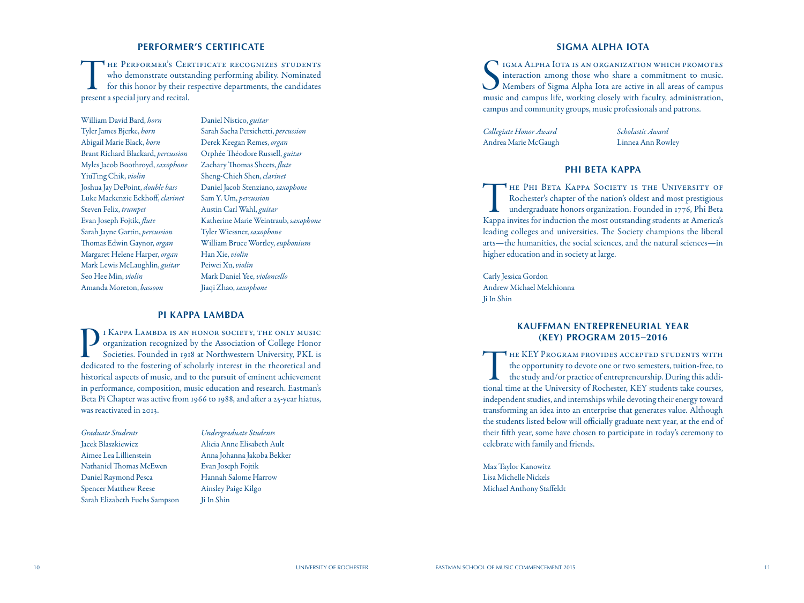# **PERFORMER'S CERTIFICATE**

**THE PERFORMER'S CERTIFICATE RECOGNIZES STUDENTS** who demonstrate outstanding performing ability. Nominated for this honor by their respective departments, the candidates present a special jury and recital.

William David Bard, *horn* Tyler James Bjerke, *horn* Abigail Marie Black, *horn* Brant Richard Blackard, *percussion* Myles Jacob Boothroyd, *saxophone* YiuTing Chik, *violin* Joshua Jay DePoint, *double bass* Luke Mackenzie Eckhoff, *clarinet* Steven Felix, *trumpet* Evan Joseph Fojtik, *flute* Sarah Jayne Gartin, *percussion* Thomas Edwin Gaynor, *organ* Margaret Helene Harper, *organ* Mark Lewis McLaughlin, *guitar* Seo Hee Min, *violin* Amanda Moreton, *bassoon*

Daniel Nistico, *guitar* Sarah Sacha Persichetti, *percussion* Derek Keegan Remes, *organ* Orphée Théodore Russell, *guitar* Zachary Thomas Sheets, *flute* Sheng-Chieh Shen, *clarinet* Daniel Jacob Stenziano, *saxophone* Sam Y. Um, *percussion* Austin Carl Wahl, *guitar* Katherine Marie Weintraub, *saxophone* Tyler Wiessner, *saxophone* William Bruce Wortley, *euphonium* Han Xie, *violin* Peiwei Xu, *violin* Mark Daniel Yee, *violoncello* Jiaqi Zhao, *saxophone*

### **PI KAPPA LAMBDA**

I KAPPA LAMBDA IS AN HONOR SOCIETY, THE ONLY MUSIC<br>organization recognized by the Association of College Honor<br>Societies. Founded in 1918 at Northwestern University, PKL is<br>dedicated to the fostering of scholarly interest organization recognized by the Association of College Honor Societies. Founded in 1918 at Northwestern University, PKL is dedicated to the fostering of scholarly interest in the theoretical and historical aspects of music, and to the pursuit of eminent achievement in performance, composition, music education and research. Eastman's Beta Pi Chapter was active from 1966 to 1988, and after a 25-year hiatus, was reactivated in 2013.

*Graduate Students* Jacek Blaszkiewicz Aimee Lea Lillienstein Nathaniel Thomas McEwen Daniel Raymond Pesca Spencer Matthew Reese Sarah Elizabeth Fuchs Sampson

*Undergraduate Students* Alicia Anne Elisabeth Ault Anna Johanna Jakoba Bekker Evan Joseph Fojtik Hannah Salome Harrow Ainsley Paige Kilgo Ji In Shin

# **SIGMA ALPHA IOTA**

S IGMA ALPHA IOTA IS AN ORGANIZATION WHICH PROMOTES<br>
interaction among those who share a commitment to music.<br>
Members of Sigma Alpha Iota are active in all areas of campus<br>
music and campus life, working closely with facu igma Alpha Iota is an organization which promotes interaction among those who share a commitment to music. Members of Sigma Alpha Iota are active in all areas of campus campus and community groups, music professionals and patrons.

*Collegiate Honor Award Scholastic Award* Andrea Marie McGaugh Linnea Ann Rowley

# **PHI BETA KAPPA**

THE PHI BETA KAPPA SOCIETY IS THE UNIVERSITY OF<br>Rochester's chapter of the nation's oldest and most prestigious<br>undergraduate honors organization. Founded in 1776, Phi Beta<br>Kappa invites for induction the most outstanding Rochester's chapter of the nation's oldest and most prestigious undergraduate honors organization. Founded in 1776, Phi Beta Kappa invites for induction the most outstanding students at America's leading colleges and universities. The Society champions the liberal arts—the humanities, the social sciences, and the natural sciences—in higher education and in society at large.

Carly Jessica Gordon Andrew Michael Melchionna Ji In Shin

# **KAUFFMAN ENTREPRENEURIAL YEAR (KEY) PROGRAM 2015 –2016**

THE KEY PROGRAM PROVIDES ACCEPTED STUDENTS WITH<br>the opportunity to devote one or two semesters, tuition-free, to<br>the study and/or practice of entrepreneurship. During this addi-<br>tional time at the University of Rochester, the opportunity to devote one or two semesters, tuition-free, to the study and/or practice of entrepreneurship. During this addi tional time at the University of Rochester, KEY students take courses, independent studies, and internships while devoting their energy toward transforming an idea into an enterprise that generates value. Although the students listed below will officially graduate next year, at the end of their fifth year, some have chosen to participate in today's ceremony to celebrate with family and friends.

Max Taylor Kanowitz Lisa Michelle Nickels Michael Anthony Staffeldt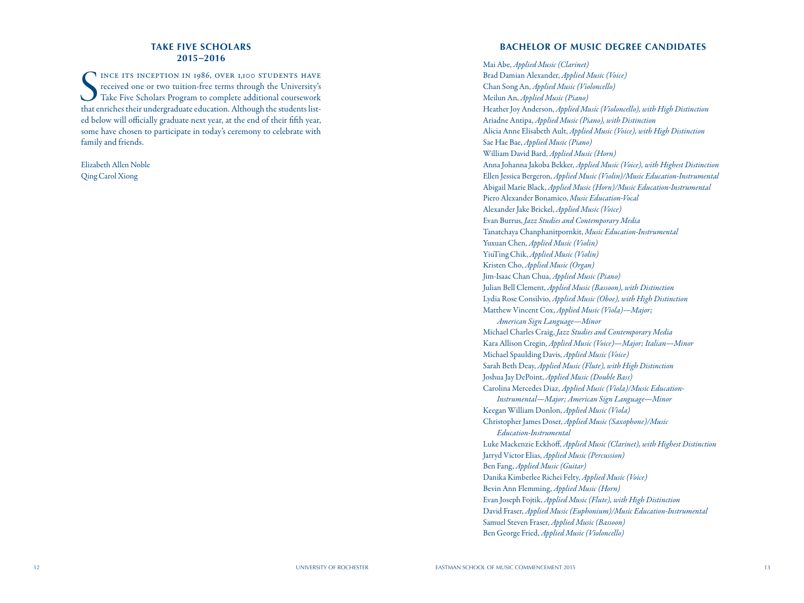# **TAKE FIVE SCHOLARS 2015 –2016**

SER INCE ITS INCEPTION IN 1986, OVER 1,100 STUDENTS HAVE<br>
received one or two tuition-free terms through the University's<br>
Take Five Scholars Program to complete additional coursework<br>
that enriches their undergraduate edu INCE ITS INCEPTION IN 1986, OVER 1,100 STUDENTS HAVE received one or two tuition-free terms through the University's Take Five Scholars Program to complete additional coursework ed below will officially graduate next year, at the end of their fifth year, some have chosen to participate in today's ceremony to celebrate with family and friends.

Elizabeth Allen Noble Qing Carol Xiong

### **BACHELOR OF MUSIC DEGREE CANDIDATES**

Mai Abe, *Applied Music (Clarinet)* Brad Damian Alexander, *Applied Music (Voice)* Chan Song An, *Applied Music (Violoncello)* Meilun An, *Applied Music (Piano)* Heather Joy Anderson, *Applied Music (Violoncello), with High Distinction* Ariadne Antipa, *Applied Music (Piano), with Distinction* Alicia Anne Elisabeth Ault, *Applied Music (Voice), with High Distinction* Sae Hae Bae, *Applied Music (Piano)* William David Bard, *Applied Music (Horn)* Anna Johanna Jakoba Bekker, *Applied Music (Voice), with Highest Distinction* Ellen Jessica Bergeron, *Applied Music (Violin)/Music Education-Instrumental* Abigail Marie Black, *Applied Music (Horn)/Music Education-Instrumental* Piero Alexander Bonamico, *Music Education-Vocal* Alexander Jake Brickel, *Applied Music (Voice)* Evan Burrus, *Jazz Studies and Contemporary Media* Tanatchaya Chanphanitpornkit, *Music Education-Instrumental* Yuxuan Chen, *Applied Music (Violin)* YiuTing Chik, *Applied Music (Violin)* Kristen Cho, *Applied Music (Organ)* Jim-Isaac Chan Chua, *Applied Music (Piano)* Julian Bell Clement, *Applied Music (Bassoon), with Distinction* Lydia Rose Consilvio, *Applied Music (Oboe), with High Distinction* Matthew Vincent Cox, *Applied Music (Viola)—Major; American Sign Language—Minor* Michael Charles Craig, *Jazz Studies and Contemporary Media* Kara Allison Cregin, *Applied Music (Voice)—Major; Italian—Minor* Michael Spaulding Davis, *Applied Music (Voice)* Sarah Beth Deay, *Applied Music (Flute), with High Distinction* Joshua Jay DePoint, *Applied Music (Double Bass)* Carolina Mercedes Diaz, *Applied Music (Viola)/Music Education-Instrumental—Major; American Sign Language—Minor* Keegan William Donlon, *Applied Music (Viola)* Christopher James Doser, *Applied Music (Saxophone)/Music Education-Instrumental* Luke Mackenzie Eckhoff, *Applied Music (Clarinet), with Highest Distinction* Jarryd Victor Elias, *Applied Music (Percussion)* Ben Fang, *Applied Music (Guitar)* Danika Kimberlee Richei Felty, *Applied Music (Voice)* Bevin Ann Flemming, *Applied Music (Horn)* Evan Joseph Fojtik, *Applied Music (Flute), with High Distinction* David Fraser, *Applied Music (Euphonium)/Music Education-Instrumental* Samuel Steven Fraser, *Applied Music (Bassoon)* Ben George Fried, *Applied Music (Violoncello)*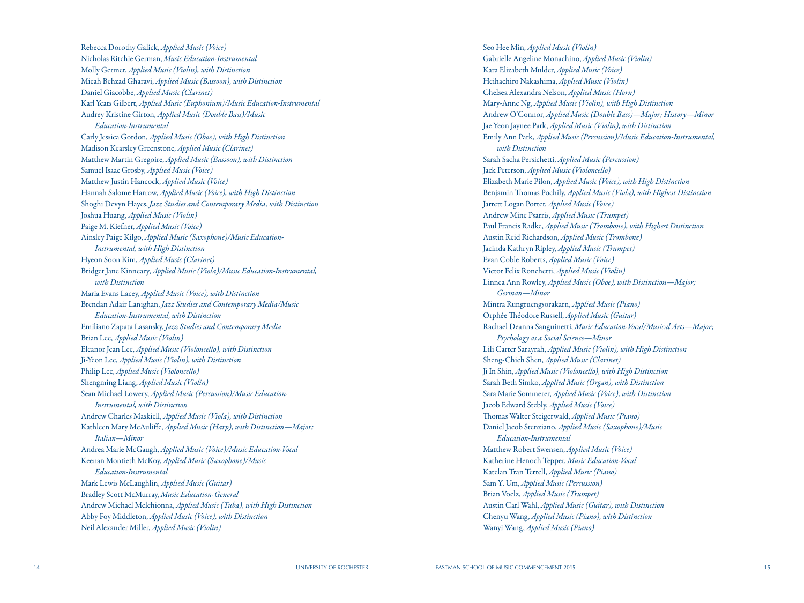Rebecca Dorothy Galick, *Applied Music (Voice)* Nicholas Ritchie German, *Music Education-Instrumental* Molly Germer, *Applied Music (Violin), with Distinction* Micah Behzad Gharavi, *Applied Music (Bassoon), with Distinction* Daniel Giacobbe, *Applied Music (Clarinet)* Karl Yeats Gilbert, *Applied Music (Euphonium)/Music Education-Instrumental* Audrey Kristine Girton, *Applied Music (Double Bass)/Music Education-Instrumental* Carly Jessica Gordon, *Applied Music (Oboe), with High Distinction* Madison Kearsley Greenstone, *Applied Music (Clarinet)* Matthew Martin Gregoire, *Applied Music (Bassoon), with Distinction* Samuel Isaac Grosby, *Applied Music (Voice)* Matthew Justin Hancock, *Applied Music (Voice)* Hannah Salome Harrow, *Applied Music (Voice), with High Distinction* Shoghi Devyn Hayes, *Jazz Studies and Contemporary Media, with Distinction* Joshua Huang, *Applied Music (Violin)* Paige M. Kiefner, *Applied Music (Voice)* Ainsley Paige Kilgo, *Applied Music (Saxophone)/Music Education-Instrumental, with High Distinction* Hyeon Soon Kim, *Applied Music (Clarinet)* Bridget Jane Kinneary, *Applied Music (Viola)/Music Education-Instrumental, with Distinction* Maria Evans Lacey, *Applied Music (Voice), with Distinction* Brendan Adair Lanighan, *Jazz Studies and Contemporary Media/Music Education-Instrumental, with Distinction* Emiliano Zapata Lasansky, *Jazz Studies and Contemporary Media* Brian Lee, *Applied Music (Violin)* Eleanor Jean Lee, *Applied Music (Violoncello), with Distinction* Ji-Yeon Lee, *Applied Music (Violin), with Distinction* Philip Lee, *Applied Music (Violoncello)* Shengming Liang, *Applied Music (Violin)* Sean Michael Lowery, *Applied Music (Percussion)/Music Education-Instrumental, with Distinction* Andrew Charles Maskiell, *Applied Music (Viola), with Distinction* Kathleen Mary McAuliffe, *Applied Music (Harp), with Distinction—Major; Italian—Minor* Andrea Marie McGaugh, *Applied Music (Voice)/Music Education-Vocal* Keenan Montieth McKoy, *Applied Music (Saxophone)/Music Education-Instrumental* Mark Lewis McLaughlin, *Applied Music (Guitar)* Bradley Scott McMurray, *Music Education-General* Andrew Michael Melchionna, *Applied Music (Tuba), with High Distinction* Abby Foy Middleton, *Applied Music (Voice), with Distinction* Neil Alexander Miller, *Applied Music (Violin)*

Seo Hee Min, *Applied Music (Violin)* Gabrielle Angeline Monachino, *Applied Music (Violin)* Kara Elizabeth Mulder, *Applied Music (Voice)* Heihachiro Nakashima, *Applied Music (Violin)* Chelsea Alexandra Nelson, *Applied Music (Horn)* Mary-Anne Ng, *Applied Music (Violin), with High Distinction* Andrew O'Connor, *Applied Music (Double Bass)—Major; History—Minor* Jae Yeon Jaynee Park, *Applied Music (Violin), with Distinction* Emily Ann Park, *Applied Music (Percussion)/Music Education-Instrumental, with Distinction* Sarah Sacha Persichetti, *Applied Music (Percussion)* Jack Peterson, *Applied Music (Violoncello)* Elizabeth Marie Pilon, *Applied Music (Voice), with High Distinction* Benjamin Thomas Pochily, *Applied Music (Viola), with Highest Distinction* Jarrett Logan Porter, *Applied Music (Voice)* Andrew Mine Psarris, *Applied Music (Trumpet)* Paul Francis Radke, *Applied Music (Trombone), with Highest Distinction* Austin Reid Richardson, *Applied Music (Trombone)* Jacinda Kathryn Ripley, *Applied Music (Trumpet)* Evan Coble Roberts, *Applied Music (Voice)* Victor Felix Ronchetti, *Applied Music (Violin)* Linnea Ann Rowley, *Applied Music (Oboe), with Distinction—Major; German—Minor* Mintra Rungruengsorakarn, *Applied Music (Piano)* Orphée Théodore Russell, *Applied Music (Guitar)* Rachael Deanna Sanguinetti, *Music Education-Vocal/Musical Arts—Major; Psychology as a Social Science—Minor* Lili Carter Sarayrah, *Applied Music (Violin), with High Distinction* Sheng-Chieh Shen, *Applied Music (Clarinet)* Ji In Shin, *Applied Music (Violoncello), with High Distinction* Sarah Beth Simko, *Applied Music (Organ), with Distinction* Sara Marie Sommerer, *Applied Music (Voice), with Distinction* Jacob Edward Stebly, *Applied Music (Voice)* Thomas Walter Steigerwald, *Applied Music (Piano)* Daniel Jacob Stenziano, *Applied Music (Saxophone)/Music Education-Instrumental* Matthew Robert Swensen, *Applied Music (Voice)* Katherine Henoch Tepper, *Music Education-Vocal* Katelan Tran Terrell, *Applied Music (Piano)* Sam Y. Um, *Applied Music (Percussion)* Brian Voelz, *Applied Music (Trumpet)* Austin Carl Wahl, *Applied Music (Guitar), with Distinction* Chenyu Wang, *Applied Music (Piano), with Distinction* Wanyi Wang, *Applied Music (Piano)*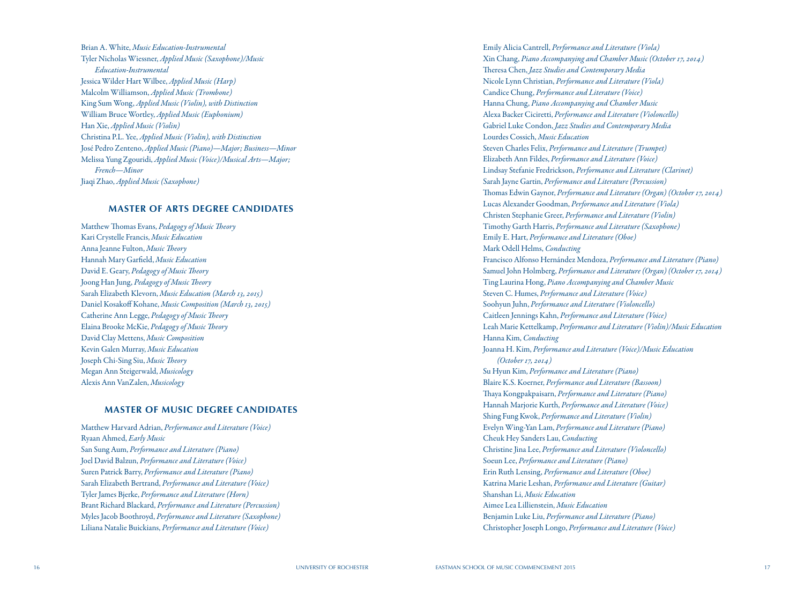Brian A. White, *Music Education-Instrumental* Tyler Nicholas Wiessner, *Applied Music (Saxophone)/Music Education-Instrumental* Jessica Wilder Hart Wilbee, *Applied Music (Harp)* Malcolm Williamson, *Applied Music (Trombone)* King Sum Wong, *Applied Music (Violin), with Distinction* William Bruce Wortley, *Applied Music (Euphonium)* Han Xie, *Applied Music (Violin)* Christina P.L. Yee, *Applied Music (Violin), with Distinction* José Pedro Zenteno, *Applied Music (Piano)—Major; Business—Minor* Melissa Yung Zgouridi, *Applied Music (Voice)/Musical Arts—Major; French—Minor* Jiaqi Zhao, *Applied Music (Saxophone)*

#### **MASTER OF ARTS DEGREE CANDIDATES**

Matthew Thomas Evans, *Pedagogy of Music Theory* Kari Crystelle Francis, *Music Education* Anna Jeanne Fulton, *Music Theory* Hannah Mary Garfield, *Music Education* David E. Geary, *Pedagogy of Music Theory* Joong Han Jung, *Pedagogy of Music Theory* Sarah Elizabeth Klevorn, *Music Education (March 13, 2015)* Daniel Kosakoff Kohane, *Music Composition (March 13, 2015)* Catherine Ann Legge, *Pedagogy of Music Theory* Elaina Brooke McKie, *Pedagogy of Music Theory* David Clay Mettens, *Music Composition* Kevin Galen Murray, *Music Education* Joseph Chi-Sing Siu, *Music Theory* Megan Ann Steigerwald, *Musicology* Alexis Ann VanZalen, *Musicology*

#### **MASTER OF MUSIC DEGREE CANDIDATES**

Matthew Harvard Adrian, *Performance and Literature (Voice)* Ryaan Ahmed, *Early Music* San Sung Aum, *Performance and Literature (Piano)* Joel David Balzun, *Performance and Literature (Voice)* Suren Patrick Barry, *Performance and Literature (Piano)* Sarah Elizabeth Bertrand, *Performance and Literature (Voice)* Tyler James Bjerke, *Performance and Literature (Horn)* Brant Richard Blackard, *Performance and Literature (Percussion)* Myles Jacob Boothroyd, *Performance and Literature (Saxophone)* Liliana Natalie Buickians, *Performance and Literature (Voice)*

Emily Alicia Cantrell, *Performance and Literature (Viola)* Xin Chang, *Piano Accompanying and Chamber Music (October 17, 2014)* Theresa Chen, *Jazz Studies and Contemporary Media* Nicole Lynn Christian, *Performance and Literature (Viola)* Candice Chung, *Performance and Literature (Voice)* Hanna Chung, *Piano Accompanying and Chamber Music* Alexa Backer Ciciretti, *Performance and Literature (Violoncello)* Gabriel Luke Condon, *Jazz Studies and Contemporary Media* Lourdes Cossich, *Music Education* Steven Charles Felix, *Performance and Literature (Trumpet)* Elizabeth Ann Fildes, *Performance and Literature (Voice)* Lindsay Stefanie Fredrickson, *Performance and Literature (Clarinet)* Sarah Jayne Gartin, *Performance and Literature (Percussion)* Thomas Edwin Gaynor, *Performance and Literature (Organ) (October 17, 2014)* Lucas Alexander Goodman, *Performance and Literature (Viola)* Christen Stephanie Greer, *Performance and Literature (Violin)* Timothy Garth Harris, *Performance and Literature (Saxophone)* Emily E. Hart, *Performance and Literature (Oboe)* Mark Odell Helms, *Conducting* Francisco Alfonso Hernández Mendoza, *Performance and Literature (Piano)* Samuel John Holmberg, *Performance and Literature (Organ) (October 17, 2014)* Ting Laurina Hong, *Piano Accompanying and Chamber Music* Steven C. Humes, *Performance and Literature (Voice)* Soohyun Juhn, *Performance and Literature (Violoncello)* Caitleen Jennings Kahn, *Performance and Literature (Voice)* Leah Marie Kettelkamp, *Performance and Literature (Violin)/Music Education* Hanna Kim, *Conducting* Joanna H. Kim, *Performance and Literature (Voice)/Music Education (October 17, 2014)* Su Hyun Kim, *Performance and Literature (Piano)* Blaire K.S. Koerner, *Performance and Literature (Bassoon)* Thaya Kongpakpaisarn, *Performance and Literature (Piano)* Hannah Marjorie Kurth, *Performance and Literature (Voice)* Shing Fung Kwok, *Performance and Literature (Violin)* Evelyn Wing-Yan Lam, *Performance and Literature (Piano)* Cheuk Hey Sanders Lau, *Conducting* Christine Jina Lee, *Performance and Literature (Violoncello)* Soeun Lee, *Performance and Literature (Piano)* Erin Ruth Lensing, *Performance and Literature (Oboe)* Katrina Marie Leshan, *Performance and Literature (Guitar)* Shanshan Li, *Music Education* Aimee Lea Lillienstein, *Music Education* Benjamin Luke Liu, *Performance and Literature (Piano)* Christopher Joseph Longo, *Performance and Literature (Voice)*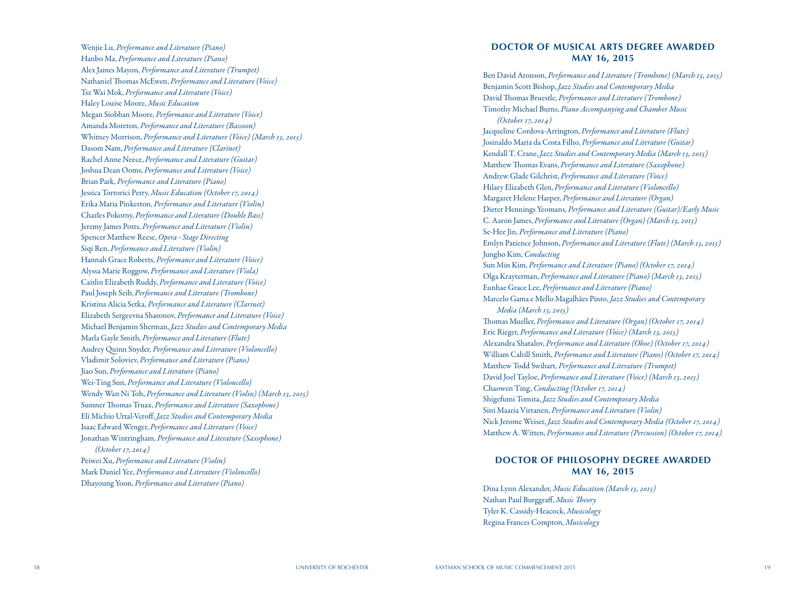Wenjie Lu, *Performance and Literature (Piano)* Hanbo Ma, *Performance and Literature (Piano)* Alex James Mayon, *Performance and Literature (Trumpet)* Nathaniel Thomas McEwen, *Performance and Literature (Voice)* Tsz Wai Mok, *Performance and Literature (Voice)* Haley Louise Moore, *Music Education* Megan Siobhan Moore, *Performance and Literature (Voice)* Amanda Moreton, *Performance and Literature (Bassoon)* Whitney Morrison, *Performance and Literature (Voice) (March 13, 2015)* Dasom Nam, *Performance and Literature (Clarinet)* Rachel Anne Neece, *Performance and Literature (Guitar)* Joshua Dean Ooms, *Performance and Literature (Voice)* Brian Park, *Performance and Literature (Piano)* Jessica Tortorici Perry, *Music Education (October 17, 2014)* Erika Maria Pinkerton, *Performance and Literature (Violin)* Charles Pokorny, *Performance and Literature (Double Bass)* Jeremy James Potts, *Performance and Literature (Violin)* Spencer Matthew Reese, *Opera - Stage Directing* Siqi Ren, *Performance and Literature (Violin)* Hannah Grace Roberts, *Performance and Literature (Voice)* Alyssa Marie Roggow, *Performance and Literature (Viola)* Caitlin Elizabeth Ruddy, *Performance and Literature (Voice)* Paul Joseph Seib, *Performance and Literature (Trombone)* Kristina Alicia Setka, *Performance and Literature (Clarinet)* Elizabeth Sergeevna Sharonov, *Performance and Literature (Voice)* Michael Benjamin Sherman, *Jazz Studies and Contemporary Media* Marla Gayle Smith, *Performance and Literature (Flute)* Audrey Quinn Snyder, *Performance and Literature (Violoncello)* Vladimir Soloviev, *Performance and Literature (Piano)* Jiao Sun, *Performance and Literature (Piano)* Wei-Ting Sun, *Performance and Literature (Violoncello)* Wendy Wan Ni Toh, *Performance and Literature (Violin) (March 13, 2015)* Sumner Thomas Truax, *Performance and Literature (Saxophone)* Eli Michio Uttal-Veroff, *Jazz Studies and Contemporary Media* Isaac Edward Wenger, *Performance and Literature (Voice)* Jonathan Wintringham, *Performance and Literature (Saxophone) (October 17, 2014)* Peiwei Xu, *Performance and Literature (Violin)* Mark Daniel Yee, *Performance and Literature (Violoncello)* Dhayoung Yoon, *Performance and Literature (Piano)*

### **DOCTOR OF MUSICAL ARTS DEGREE AWARDED MAY 16, 2015**

Ben David Aronson, *Performance and Literature (Trombone) (March 13, 2015)* Benjamin Scott Bishop, *Jazz Studies and Contemporary Media* David Thomas Bruestle, *Performance and Literature (Trombone)* Timothy Michael Burns, *Piano Accompanying and Chamber Music (October 17, 2014)* Jacqueline Cordova-Arrington, *Performance and Literature (Flute)* Josinaldo Maria da Costa Filho, *Performance and Literature (Guitar)* Kendall T. Crane, *Jazz Studies and Contemporary Media (March 13, 2015)* Matthew Thomas Evans, *Performance and Literature (Saxophone)* Andrew Glade Gilchrist, *Performance and Literature (Voice)* Hilary Elizabeth Glen, *Performance and Literature (Violoncello)* Margaret Helene Harper, *Performance and Literature (Organ)* Dieter Hennings Yeomans, *Performance and Literature (Guitar)/Early Music* C. Aaron James, *Performance and Literature (Organ) (March 13, 2015)* Se-Hee Jin, *Performance and Literature (Piano)* Emlyn Patience Johnson, *Performance and Literature (Flute) (March 13, 2015)* Jungho Kim, *Conducting* Sun Min Kim, *Performance and Literature (Piano) (October 17, 2014)* Olga Krayterman, *Performance and Literature (Piano) (March 13, 2015)* Eunhae Grace Lee, *Performance and Literature (Piano)* Marcelo Gama e Mello Magalhães Pinto, *Jazz Studies and Contemporary Media (March 13, 2015)* Thomas Mueller, *Performance and Literature (Organ) (October 17, 2014)* Eric Rieger, *Performance and Literature (Voice) (March 13, 2015)* Alexandra Shatalov, *Performance and Literature (Oboe) (October 17, 2014)* William Cahill Smith, *Performance and Literature (Piano) (October 17, 2014)* Matthew Todd Swihart, *Performance and Literature (Trumpet)* David Joel Tayloe, *Performance and Literature (Voice) (March 13, 2015)* Chaowen Ting, *Conducting (October 17, 2014)* Shigefumi Tomita, *Jazz Studies and Contemporary Media* Sini Maaria Virtanen, *Performance and Literature (Violin)* Nick Jerome Weiser, *Jazz Studies and Contemporary Media (October 17, 2014)* Matthew A. Witten, *Performance and Literature (Percussion) (October 17, 2014)*

# **DOCTOR OF PHILOSOPHY DEGREE AWARDED MAY 16, 2015**

Dina Lynn Alexander, *Music Education (March 13, 2015)* Nathan Paul Burggraff, *Music Theory* Tyler K. Cassidy-Heacock, *Musicology* Regina Frances Compton, *Musicology*